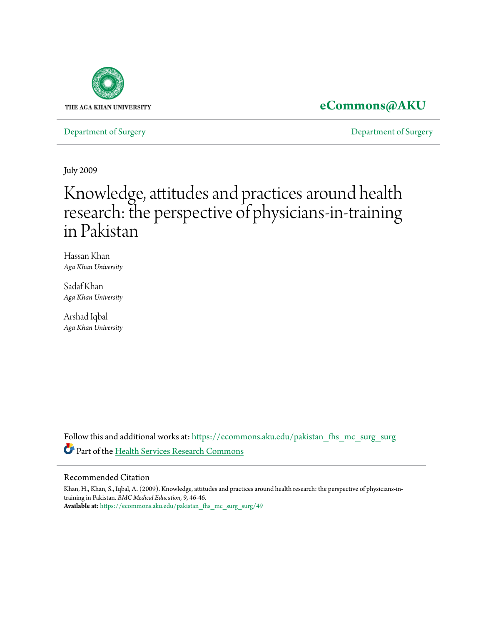

# **[eCommons@AKU](https://ecommons.aku.edu?utm_source=ecommons.aku.edu%2Fpakistan_fhs_mc_surg_surg%2F49&utm_medium=PDF&utm_campaign=PDFCoverPages)**

[Department of Surgery](https://ecommons.aku.edu/pakistan_fhs_mc_surg_surg?utm_source=ecommons.aku.edu%2Fpakistan_fhs_mc_surg_surg%2F49&utm_medium=PDF&utm_campaign=PDFCoverPages) [Department of Surgery](https://ecommons.aku.edu/pakistan_fhs_mc_surg?utm_source=ecommons.aku.edu%2Fpakistan_fhs_mc_surg_surg%2F49&utm_medium=PDF&utm_campaign=PDFCoverPages)

July 2009

# Knowledge, attitudes and practices around health research: the perspective of physicians-in-training in Pakistan

Hassan Khan *Aga Khan University*

Sadaf Khan *Aga Khan University*

Arshad Iqbal *Aga Khan University*

Follow this and additional works at: [https://ecommons.aku.edu/pakistan\\_fhs\\_mc\\_surg\\_surg](https://ecommons.aku.edu/pakistan_fhs_mc_surg_surg?utm_source=ecommons.aku.edu%2Fpakistan_fhs_mc_surg_surg%2F49&utm_medium=PDF&utm_campaign=PDFCoverPages) Part of the [Health Services Research Commons](http://network.bepress.com/hgg/discipline/816?utm_source=ecommons.aku.edu%2Fpakistan_fhs_mc_surg_surg%2F49&utm_medium=PDF&utm_campaign=PDFCoverPages)

# Recommended Citation

Khan, H., Khan, S., Iqbal, A. (2009). Knowledge, attitudes and practices around health research: the perspective of physicians-intraining in Pakistan. *BMC Medical Education, 9*, 46-46. **Available at:** [https://ecommons.aku.edu/pakistan\\_fhs\\_mc\\_surg\\_surg/49](https://ecommons.aku.edu/pakistan_fhs_mc_surg_surg/49)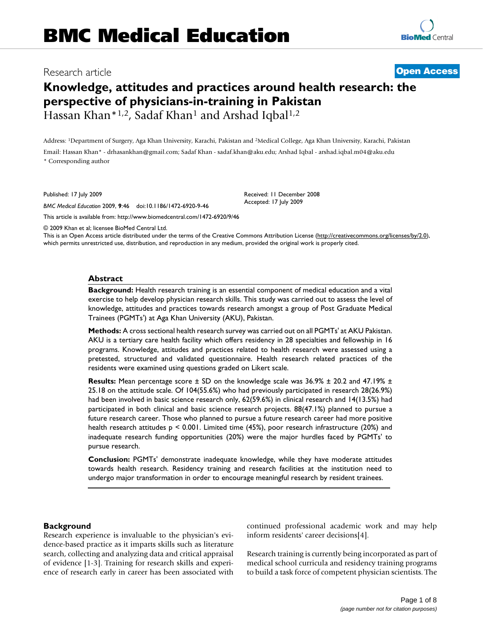# Research article **[Open Access](http://www.biomedcentral.com/info/about/charter/)**

# **Knowledge, attitudes and practices around health research: the perspective of physicians-in-training in Pakistan** Hassan Khan\*<sup>1,2</sup>, Sadaf Khan<sup>1</sup> and Arshad Iqbal<sup>1,2</sup>

Address: 1Department of Surgery, Aga Khan University, Karachi, Pakistan and 2Medical College, Aga Khan University, Karachi, Pakistan Email: Hassan Khan\* - drhasankhan@gmail.com; Sadaf Khan - sadaf.khan@aku.edu; Arshad Iqbal - arshad.iqbal.m04@aku.edu

\* Corresponding author

Published: 17 July 2009

*BMC Medical Education* 2009, **9**:46 doi:10.1186/1472-6920-9-46

Received: 11 December 2008 Accepted: 17 July 2009

[This article is available from: http://www.biomedcentral.com/1472-6920/9/46](http://www.biomedcentral.com/1472-6920/9/46)

© 2009 Khan et al; licensee BioMed Central Ltd.

This is an Open Access article distributed under the terms of the Creative Commons Attribution License [\(http://creativecommons.org/licenses/by/2.0\)](http://creativecommons.org/licenses/by/2.0), which permits unrestricted use, distribution, and reproduction in any medium, provided the original work is properly cited.

#### **Abstract**

**Background:** Health research training is an essential component of medical education and a vital exercise to help develop physician research skills. This study was carried out to assess the level of knowledge, attitudes and practices towards research amongst a group of Post Graduate Medical Trainees (PGMTs') at Aga Khan University (AKU), Pakistan.

**Methods:** A cross sectional health research survey was carried out on all PGMTs' at AKU Pakistan. AKU is a tertiary care health facility which offers residency in 28 specialties and fellowship in 16 programs. Knowledge, attitudes and practices related to health research were assessed using a pretested, structured and validated questionnaire. Health research related practices of the residents were examined using questions graded on Likert scale.

**Results:** Mean percentage score ± SD on the knowledge scale was 36.9% ± 20.2 and 47.19% ± 25.18 on the attitude scale. Of 104(55.6%) who had previously participated in research 28(26.9%) had been involved in basic science research only, 62(59.6%) in clinical research and 14(13.5%) had participated in both clinical and basic science research projects. 88(47.1%) planned to pursue a future research career. Those who planned to pursue a future research career had more positive health research attitudes p < 0.001. Limited time (45%), poor research infrastructure (20%) and inadequate research funding opportunities (20%) were the major hurdles faced by PGMTs' to pursue research.

**Conclusion:** PGMTs' demonstrate inadequate knowledge, while they have moderate attitudes towards health research. Residency training and research facilities at the institution need to undergo major transformation in order to encourage meaningful research by resident trainees.

### **Background**

Research experience is invaluable to the physician's evidence-based practice as it imparts skills such as literature search, collecting and analyzing data and critical appraisal of evidence [1-3]. Training for research skills and experience of research early in career has been associated with continued professional academic work and may help inform residents' career decisions[4].

Research training is currently being incorporated as part of medical school curricula and residency training programs to build a task force of competent physician scientists. The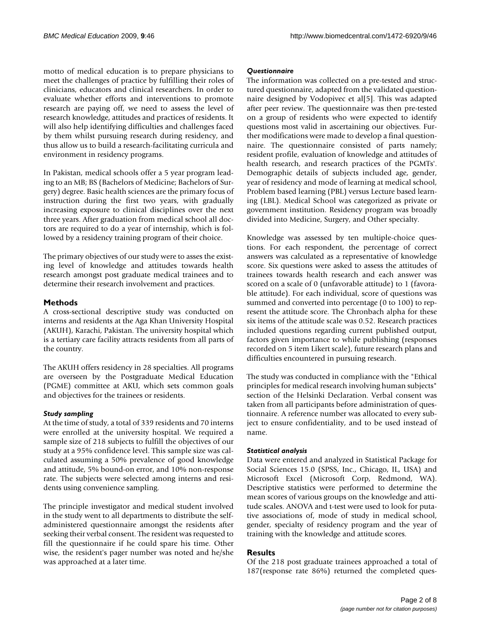motto of medical education is to prepare physicians to meet the challenges of practice by fulfilling their roles of clinicians, educators and clinical researchers. In order to evaluate whether efforts and interventions to promote research are paying off, we need to assess the level of research knowledge, attitudes and practices of residents. It will also help identifying difficulties and challenges faced by them whilst pursuing research during residency, and thus allow us to build a research-facilitating curricula and environment in residency programs.

In Pakistan, medical schools offer a 5 year program leading to an MB; BS (Bachelors of Medicine; Bachelors of Surgery) degree. Basic health sciences are the primary focus of instruction during the first two years, with gradually increasing exposure to clinical disciplines over the next three years. After graduation from medical school all doctors are required to do a year of internship, which is followed by a residency training program of their choice.

The primary objectives of our study were to asses the existing level of knowledge and attitudes towards health research amongst post graduate medical trainees and to determine their research involvement and practices.

# **Methods**

A cross-sectional descriptive study was conducted on interns and residents at the Aga Khan University Hospital (AKUH), Karachi, Pakistan. The university hospital which is a tertiary care facility attracts residents from all parts of the country.

The AKUH offers residency in 28 specialties. All programs are overseen by the Postgraduate Medical Education (PGME) committee at AKU, which sets common goals and objectives for the trainees or residents.

# *Study sampling*

At the time of study, a total of 339 residents and 70 interns were enrolled at the university hospital. We required a sample size of 218 subjects to fulfill the objectives of our study at a 95% confidence level. This sample size was calculated assuming a 50% prevalence of good knowledge and attitude, 5% bound-on error, and 10% non-response rate. The subjects were selected among interns and residents using convenience sampling.

The principle investigator and medical student involved in the study went to all departments to distribute the selfadministered questionnaire amongst the residents after seeking their verbal consent. The resident was requested to fill the questionnaire if he could spare his time. Other wise, the resident's pager number was noted and he/she was approached at a later time.

### *Questionnaire*

The information was collected on a pre-tested and structured questionnaire, adapted from the validated questionnaire designed by Vodopivec et al[5]. This was adapted after peer review. The questionnaire was then pre-tested on a group of residents who were expected to identify questions most valid in ascertaining our objectives. Further modifications were made to develop a final questionnaire. The questionnaire consisted of parts namely; resident profile, evaluation of knowledge and attitudes of health research, and research practices of the PGMTs'. Demographic details of subjects included age, gender, year of residency and mode of learning at medical school, Problem based learning (PBL) versus Lecture based learning (LBL). Medical School was categorized as private or government institution. Residency program was broadly divided into Medicine, Surgery, and Other specialty.

Knowledge was assessed by ten multiple-choice questions. For each respondent, the percentage of correct answers was calculated as a representative of knowledge score. Six questions were asked to assess the attitudes of trainees towards health research and each answer was scored on a scale of 0 (unfavorable attitude) to 1 (favorable attitude). For each individual, score of questions was summed and converted into percentage (0 to 100) to represent the attitude score. The Chronbach alpha for these six items of the attitude scale was 0.52. Research practices included questions regarding current published output, factors given importance to while publishing (responses recorded on 5 item Likert scale), future research plans and difficulties encountered in pursuing research.

The study was conducted in compliance with the "Ethical principles for medical research involving human subjects" section of the Helsinki Declaration. Verbal consent was taken from all participants before administration of questionnaire. A reference number was allocated to every subject to ensure confidentiality, and to be used instead of name.

### *Statistical analysis*

Data were entered and analyzed in Statistical Package for Social Sciences 15.0 (SPSS, Inc., Chicago, IL, USA) and Microsoft Excel (Microsoft Corp, Redmond, WA). Descriptive statistics were performed to determine the mean scores of various groups on the knowledge and attitude scales. ANOVA and t-test were used to look for putative associations of, mode of study in medical school, gender, specialty of residency program and the year of training with the knowledge and attitude scores.

# **Results**

Of the 218 post graduate trainees approached a total of 187(response rate 86%) returned the completed ques-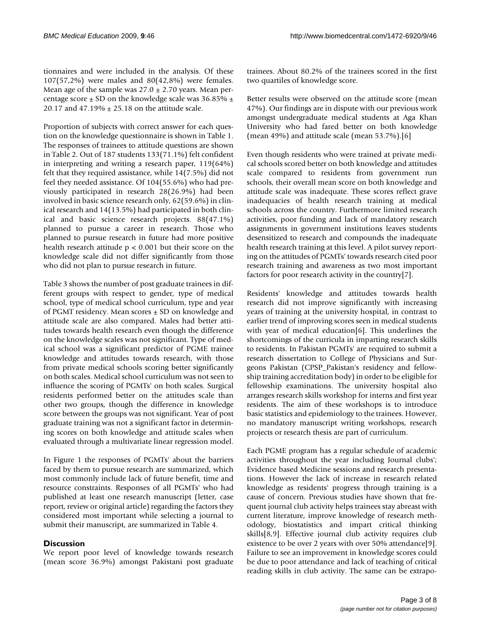tionnaires and were included in the analysis. Of these 107(57,2%) were males and 80(42,8%) were females. Mean age of the sample was  $27.0 \pm 2.70$  years. Mean percentage score  $\pm$  SD on the knowledge scale was 36.85%  $\pm$ 20.17 and 47.19%  $\pm$  25.18 on the attitude scale.

Proportion of subjects with correct answer for each question on the knowledge questionnaire is shown in Table 1. The responses of trainees to attitude questions are shown in Table 2. Out of 187 students 133(71.1%) felt confident in interpreting and writing a research paper, 119(64%) felt that they required assistance, while 14(7.5%) did not feel they needed assistance. Of 104(55.6%) who had previously participated in research 28(26.9%) had been involved in basic science research only, 62(59.6%) in clinical research and 14(13.5%) had participated in both clinical and basic science research projects. 88(47.1%) planned to pursue a career in research. Those who planned to pursue research in future had more positive health research attitude  $p < 0.001$  but their score on the knowledge scale did not differ significantly from those who did not plan to pursue research in future.

Table 3 shows the number of post graduate trainees in different groups with respect to gender, type of medical school, type of medical school curriculum, type and year of PGMT residency. Mean scores ± SD on knowledge and attitude scale are also compared. Males had better attitudes towards health research even though the difference on the knowledge scales was not significant. Type of medical school was a significant predictor of PGME trainee knowledge and attitudes towards research, with those from private medical schools scoring better significantly on both scales. Medical school curriculum was not seen to influence the scoring of PGMTs' on both scales. Surgical residents performed better on the attitudes scale than other two groups, though the difference in knowledge score between the groups was not significant. Year of post graduate training was not a significant factor in determining scores on both knowledge and attitude scales when evaluated through a multivariate linear regression model.

In Figure 1 the responses of PGMTs' about the barriers faced by them to pursue research are summarized, which most commonly include lack of future benefit, time and resource constraints. Responses of all PGMTs' who had published at least one research manuscript (letter, case report, review or original article) regarding the factors they considered most important while selecting a journal to submit their manuscript, are summarized in Table 4.

# **Discussion**

We report poor level of knowledge towards research (mean score 36.9%) amongst Pakistani post graduate

trainees. About 80.2% of the trainees scored in the first two quartiles of knowledge score.

Better results were observed on the attitude score (mean 47%). Our findings are in dispute with our previous work amongst undergraduate medical students at Aga Khan University who had fared better on both knowledge (mean 49%) and attitude scale (mean 53.7%).[6]

Even though residents who were trained at private medical schools scored better on both knowledge and attitudes scale compared to residents from government run schools, their overall mean score on both knowledge and attitude scale was inadequate. These scores reflect grave inadequacies of health research training at medical schools across the country. Furthermore limited research activities, poor funding and lack of mandatory research assignments in government institutions leaves students desensitized to research and compounds the inadequate health research training at this level. A pilot survey reporting on the attitudes of PGMTs' towards research cited poor research training and awareness as two most important factors for poor research activity in the country[7].

Residents' knowledge and attitudes towards health research did not improve significantly with increasing years of training at the university hospital, in contrast to earlier trend of improving scores seen in medical students with year of medical education[6]. This underlines the shortcomings of the curricula in imparting research skills to residents. In Pakistan PGMTs' are required to submit a research dissertation to College of Physicians and Surgeons Pakistan (CPSP\_Pakistan's residency and fellowship training accreditation body) in order to be eligible for fellowship examinations. The university hospital also arranges research skills workshop for interns and first year residents. The aim of these workshops is to introduce basic statistics and epidemiology to the trainees. However, no mandatory manuscript writing workshops, research projects or research thesis are part of curriculum.

Each PGME program has a regular schedule of academic activities throughout the year including Journal clubs'; Evidence based Medicine sessions and research presentations. However the lack of increase in research related knowledge as residents' progress through training is a cause of concern. Previous studies have shown that frequent journal club activity helps trainees stay abreast with current literature, improve knowledge of research methodology, biostatistics and impart critical thinking skills[8,9]. Effective journal club activity requires club existence to be over 2 years with over 50% attendance[9]. Failure to see an improvement in knowledge scores could be due to poor attendance and lack of teaching of critical reading skills in club activity. The same can be extrapo-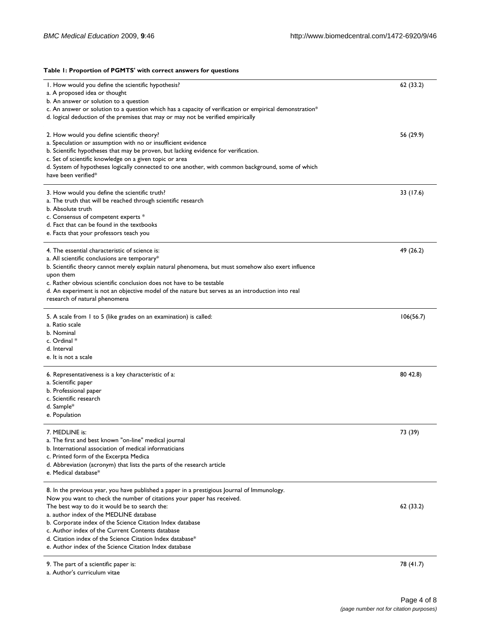#### **Table 1: Proportion of PGMTS' with correct answers for questions**

| I. How would you define the scientific hypothesis?                                                      | 62 (33.2) |
|---------------------------------------------------------------------------------------------------------|-----------|
| a. A proposed idea or thought                                                                           |           |
| b. An answer or solution to a question                                                                  |           |
| c. An answer or solution to a question which has a capacity of verification or empirical demonstration* |           |
| d. logical deduction of the premises that may or may not be verified empirically                        |           |
| 2. How would you define scientific theory?                                                              | 56 (29.9) |
| a. Speculation or assumption with no or insufficient evidence                                           |           |
| b. Scientific hypotheses that may be proven, but lacking evidence for verification.                     |           |
| c. Set of scientific knowledge on a given topic or area                                                 |           |
| d. System of hypotheses logically connected to one another, with common background, some of which       |           |
| have been verified*                                                                                     |           |
| 3. How would you define the scientific truth?                                                           | 33 (17.6) |
| a. The truth that will be reached through scientific research                                           |           |
| b. Absolute truth                                                                                       |           |
| c. Consensus of competent experts *                                                                     |           |
| d. Fact that can be found in the textbooks                                                              |           |
| e. Facts that your professors teach you                                                                 |           |
| 4. The essential characteristic of science is:                                                          | 49 (26.2) |
| a. All scientific conclusions are temporary*                                                            |           |
| b. Scientific theory cannot merely explain natural phenomena, but must somehow also exert influence     |           |
| upon them                                                                                               |           |
| c. Rather obvious scientific conclusion does not have to be testable                                    |           |
| d. An experiment is not an objective model of the nature but serves as an introduction into real        |           |
| research of natural phenomena                                                                           |           |
| 5. A scale from 1 to 5 (like grades on an examination) is called:                                       | 106(56.7) |
| a. Ratio scale                                                                                          |           |
| b. Nominal                                                                                              |           |
| c. Ordinal *                                                                                            |           |
| d. Interval                                                                                             |           |
| e. It is not a scale                                                                                    |           |
| 6. Representativeness is a key characteristic of a:                                                     | 80 42.8)  |
| a. Scientific paper                                                                                     |           |
| b. Professional paper                                                                                   |           |
| c. Scientific research                                                                                  |           |
| d. Sample*                                                                                              |           |
| e. Population                                                                                           |           |
| 7. MEDLINE is:                                                                                          | 73 (39)   |
| a. The first and best known "on-line" medical journal                                                   |           |
| b. International association of medical informaticians                                                  |           |
| c. Printed form of the Excerpta Medica                                                                  |           |
| d. Abbreviation (acronym) that lists the parts of the research article                                  |           |
| e. Medical database*                                                                                    |           |
| 8. In the previous year, you have published a paper in a prestigious Journal of Immunology.             |           |
| Now you want to check the number of citations your paper has received.                                  |           |
| The best way to do it would be to search the:                                                           | 62 (33.2) |
| a. author index of the MEDLINE database                                                                 |           |
| b. Corporate index of the Science Citation Index database                                               |           |
| c. Author index of the Current Contents database                                                        |           |
| d. Citation index of the Science Citation Index database*                                               |           |
| e. Author index of the Science Citation Index database                                                  |           |
| 9. The part of a scientific paper is:                                                                   | 78 (41.7) |

a. Author's curriculum vitae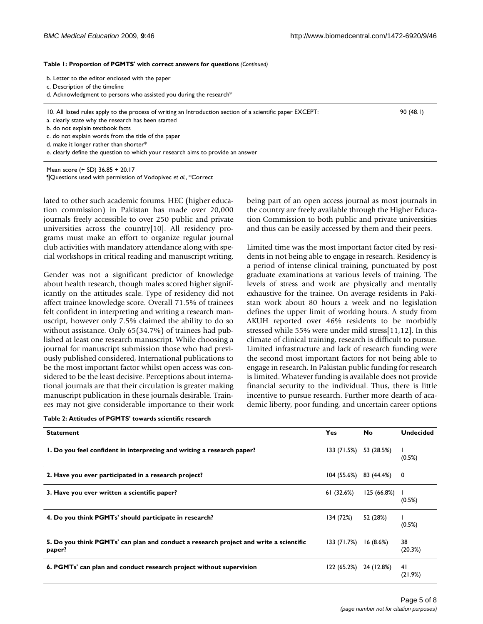being part of an open access journal as most journals in the country are freely available through the Higher Education Commission to both public and private universities and thus can be easily accessed by them and their peers.

Limited time was the most important factor cited by residents in not being able to engage in research. Residency is a period of intense clinical training, punctuated by post graduate examinations at various levels of training. The levels of stress and work are physically and mentally exhaustive for the trainee. On average residents in Pakistan work about 80 hours a week and no legislation defines the upper limit of working hours. A study from AKUH reported over 46% residents to be morbidly stressed while 55% were under mild stress[11,12]. In this climate of clinical training, research is difficult to pursue. Limited infrastructure and lack of research funding were the second most important factors for not being able to engage in research. In Pakistan public funding for research

**Table 1: Proportion of PGMTS' with correct answers for questions** *(Continued)*

| b. Letter to the editor enclosed with the paper |  |  |  |  |
|-------------------------------------------------|--|--|--|--|
|                                                 |  |  |  |  |

c. Description of the timeline

d. Acknowledgment to persons who assisted you during the research\*

10. All listed rules apply to the process of writing an Introduction section of a scientific paper EXCEPT: 90 (48.1)

a. clearly state why the research has been started

b. do not explain textbook facts

c. do not explain words from the title of the paper

d. make it longer rather than shorter\*

e. clearly define the question to which your research aims to provide an answer

Mean score (+ SD) 36.85 + 20.17 ¶Questions used with permission of Vodopivec *et al.*, \*Correct

lated to other such academic forums. HEC (higher education commission) in Pakistan has made over 20,000 journals freely accessible to over 250 public and private universities across the country[10]. All residency programs must make an effort to organize regular journal club activities with mandatory attendance along with special workshops in critical reading and manuscript writing.

Gender was not a significant predictor of knowledge about health research, though males scored higher significantly on the attitudes scale. Type of residency did not affect trainee knowledge score. Overall 71.5% of trainees felt confident in interpreting and writing a research manuscript, however only 7.5% claimed the ability to do so without assistance. Only 65(34.7%) of trainees had published at least one research manuscript. While choosing a journal for manuscript submission those who had previously published considered, International publications to be the most important factor whilst open access was considered to tional journals and the theory manuscrip ees may n

| Table 2: Attitudes of PGMTS' towards scientific research |  |
|----------------------------------------------------------|--|
|----------------------------------------------------------|--|

|                                                                        | <b>No</b>             | <b>Undecided</b>                                                                                                                                                                                                                                                                                |
|------------------------------------------------------------------------|-----------------------|-------------------------------------------------------------------------------------------------------------------------------------------------------------------------------------------------------------------------------------------------------------------------------------------------|
|                                                                        | 53 (28.5%)            | (0.5%)                                                                                                                                                                                                                                                                                          |
|                                                                        |                       |                                                                                                                                                                                                                                                                                                 |
|                                                                        | 125 (66.8%)<br>(0.5%) |                                                                                                                                                                                                                                                                                                 |
| 134 (72%)                                                              | 52 (28%)              | (0.5%)                                                                                                                                                                                                                                                                                          |
| I. Do you feel confident in interpreting and writing a research paper? | Yes<br>61(32.6%)      | is limited. Whatever funding is available does not provide<br>financial security to the individual. Thus, there is little<br>incentive to pursue research. Further more dearth of aca-<br>demic liberty, poor funding, and uncertain career options<br>133 (71.5%)<br>$104(55.6%)$ 83 (44.4%) 0 |

**5. Do you think PGMTs' can plan and conduct a research project and write a scientific paper?** 133 (71.7%) 16 (8.6%) 38

**6. PGMTs' can plan and conduct research project without supervision** 122 (65.2%) 24 (12.8%) 41

(20.3%)

(21.9%)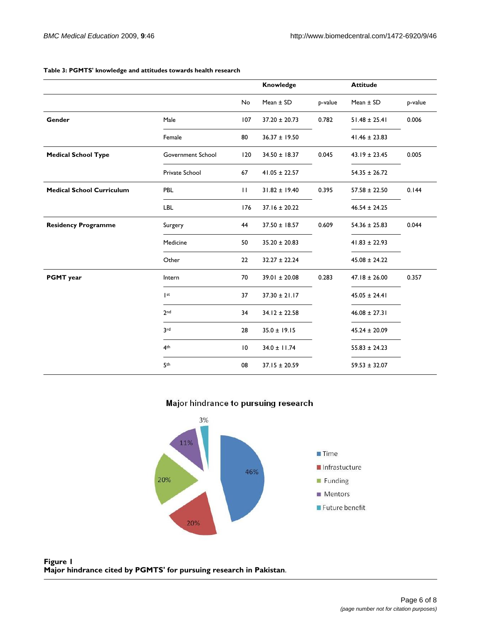|                                  |                   |                 | Knowledge         |         | <b>Attitude</b>   |         |
|----------------------------------|-------------------|-----------------|-------------------|---------|-------------------|---------|
|                                  |                   | No              | Mean $\pm$ SD     | p-value | Mean $\pm$ SD     | p-value |
| Gender                           | Male              | 107             | $37.20 \pm 20.73$ | 0.782   | $51.48 \pm 25.41$ | 0.006   |
|                                  | Female            | 80              | $36.37 \pm 19.50$ |         | $41.46 \pm 23.83$ |         |
| <b>Medical School Type</b>       | Government School | 120             | $34.50 \pm 18.37$ | 0.045   | $43.19 \pm 23.45$ | 0.005   |
|                                  | Private School    | 67              | $41.05 \pm 22.57$ |         | $54.35 \pm 26.72$ |         |
| <b>Medical School Curriculum</b> | PBL               | $\mathbf{H}$    | $31.82 \pm 19.40$ | 0.395   | $57.58 \pm 22.50$ | 0.144   |
|                                  | <b>LBL</b>        | 176             | $37.16 \pm 20.22$ |         | $46.54 \pm 24.25$ |         |
| <b>Residency Programme</b>       | Surgery           | 44              | $37.50 \pm 18.57$ | 0.609   | $54.36 \pm 25.83$ | 0.044   |
|                                  | Medicine          | 50              | $35.20 \pm 20.83$ |         | $41.83 \pm 22.93$ |         |
|                                  | Other             | 22              | $32.27 \pm 22.24$ |         | $45.08 \pm 24.22$ |         |
| <b>PGMT</b> year                 | Intern            | 70              | $39.01 \pm 20.08$ | 0.283   | $47.18 \pm 26.00$ | 0.357   |
|                                  | st                | 37              | $37.30 \pm 21.17$ |         | $45.05 \pm 24.41$ |         |
|                                  | 2 <sub>nd</sub>   | 34              | $34.12 \pm 22.58$ |         | $46.08 \pm 27.31$ |         |
|                                  | 3rd               | 28              | $35.0 \pm 19.15$  |         | $45.24 \pm 20.09$ |         |
|                                  | 4 <sup>th</sup>   | $\overline{10}$ | $34.0 \pm 11.74$  |         | $55.83 \pm 24.23$ |         |
|                                  | 5th               | 08              | $37.15 \pm 20.59$ |         | $59.53 \pm 32.07$ |         |

#### **Table 3: PGMTS' knowledge and attitudes towards health research**

# Major hindrance to pursuing research



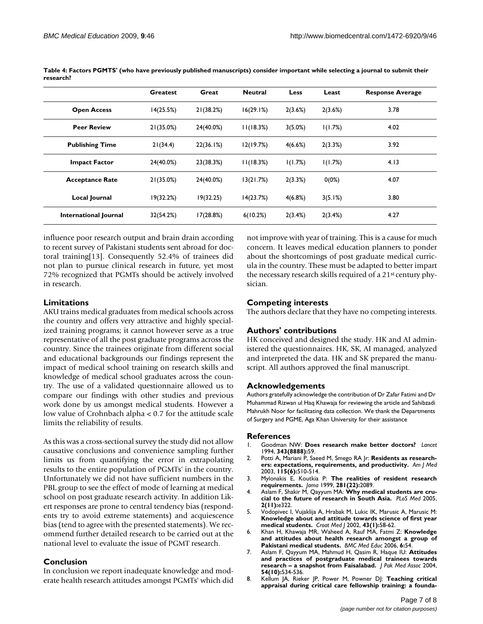|                        | <b>Greatest</b> | Great     | <b>Neutral</b> | Less       | Least    | <b>Response Average</b> |
|------------------------|-----------------|-----------|----------------|------------|----------|-------------------------|
| <b>Open Access</b>     | 14(25.5%)       | 21(38.2%) | 16(29.1%)      | 2(3.6%)    | 2(3.6%)  | 3.78                    |
| <b>Peer Review</b>     | 21(35.0%)       | 24(40.0%) | 11(18.3%)      | $3(5.0\%)$ | 1(1.7%)  | 4.02                    |
| <b>Publishing Time</b> | 21(34.4)        | 22(36.1%) | 12(19.7%)      | 4(6.6%)    | 2(3.3%)  | 3.92                    |
| <b>Impact Factor</b>   | 24(40.0%)       | 23(38.3%) | 11(18.3%)      | 1(1.7%)    | 1(1.7%)  | 4.13                    |
| <b>Acceptance Rate</b> | 21(35.0%)       | 24(40.0%) | 13(21.7%)      | 2(3.3%)    | $0(0\%)$ | 4.07                    |
| Local Journal          | 19(32.2%)       | 19(32.25) | 14(23.7%)      | 4(6.8%)    | 3(5.1%)  | 3.80                    |
| International Journal  | 32(54.2%)       | 17(28.8%) | 6(10.2%)       | 2(3.4%)    | 2(3.4%)  | 4.27                    |

**Table 4: Factors PGMTS' (who have previously published manuscripts) consider important while selecting a journal to submit their research?**

influence poor research output and brain drain according to recent survey of Pakistani students sent abroad for doctoral training[13]. Consequently 52.4% of trainees did not plan to pursue clinical research in future, yet most 72% recognized that PGMTs should be actively involved in research.

## **Limitations**

AKU trains medical graduates from medical schools across the country and offers very attractive and highly specialized training programs; it cannot however serve as a true representative of all the post graduate programs across the country. Since the trainees originate from different social and educational backgrounds our findings represent the impact of medical school training on research skills and knowledge of medical school graduates across the country. The use of a validated questionnaire allowed us to compare our findings with other studies and previous work done by us amongst medical students. However a low value of Crohnbach alpha < 0.7 for the attitude scale limits the reliability of results.

As this was a cross-sectional survey the study did not allow causative conclusions and convenience sampling further limits us from quantifying the error in extrapolating results to the entire population of PGMTs' in the country. Unfortunately we did not have sufficient numbers in the PBL group to see the effect of mode of learning at medical school on post graduate research activity. In addition Likert responses are prone to central tendency bias (respondents try to avoid extreme statements) and acquiescence bias (tend to agree with the presented statements). We recommend further detailed research to be carried out at the national level to evaluate the issue of PGMT research.

### **Conclusion**

In conclusion we report inadequate knowledge and moderate health research attitudes amongst PGMTs' which did not improve with year of training. This is a cause for much concern. It leaves medical education planners to ponder about the shortcomings of post graduate medical curricula in the country. These must be adapted to better impart the necessary research skills required of a 21st century physician.

# **Competing interests**

The authors declare that they have no competing interests.

# **Authors' contributions**

HK conceived and designed the study. HK and AI administered the questionnaires. HK, SK, AI managed, analyzed and interpreted the data. HK and SK prepared the manuscript. All authors approved the final manuscript.

### **Acknowledgements**

Authors gratefully acknowledge the contribution of Dr Zafar Fatimi and Dr Muhammad Rizwan ul Haq Khawaja for reviewing the article and Sahibzadi Mahrukh Noor for facilitating data collection. We thank the Departments of Surgery and PGME, Aga Khan University for their assistance

### **References**

- 1. Goodman NW: **[Does research make better doctors?](http://www.ncbi.nlm.nih.gov/entrez/query.fcgi?cmd=Retrieve&db=PubMed&dopt=Abstract&list_uids=7905074)** *Lancet* 1994, **343(8888):**59.
- 2. Potti A, Mariani P, Saeed M, Smego RA Jr: **[Residents as research](http://www.ncbi.nlm.nih.gov/entrez/query.fcgi?cmd=Retrieve&db=PubMed&dopt=Abstract&list_uids=14567370)[ers: expectations, requirements, and productivity.](http://www.ncbi.nlm.nih.gov/entrez/query.fcgi?cmd=Retrieve&db=PubMed&dopt=Abstract&list_uids=14567370)** *Am J Med* 2003, **115(6):**510-514.
- 3. Mylonakis E, Koutkia P: **[The realities of resident research](http://www.ncbi.nlm.nih.gov/entrez/query.fcgi?cmd=Retrieve&db=PubMed&dopt=Abstract&list_uids=10367818) [requirements.](http://www.ncbi.nlm.nih.gov/entrez/query.fcgi?cmd=Retrieve&db=PubMed&dopt=Abstract&list_uids=10367818)** *Jama* 1999, **281(22):**2089.
- 4. Aslam F, Shakir M, Qayyum MA: **[Why medical students are cru](http://www.ncbi.nlm.nih.gov/entrez/query.fcgi?cmd=Retrieve&db=PubMed&dopt=Abstract&list_uids=16288553)[cial to the future of research in South Asia.](http://www.ncbi.nlm.nih.gov/entrez/query.fcgi?cmd=Retrieve&db=PubMed&dopt=Abstract&list_uids=16288553)** *PLoS Med* 2005, **2(11):**e322.
- 5. Vodopivec I, Vujaklija A, Hrabak M, Lukic IK, Marusic A, Marusic M: **[Knowledge about and attitude towards science of first year](http://www.ncbi.nlm.nih.gov/entrez/query.fcgi?cmd=Retrieve&db=PubMed&dopt=Abstract&list_uids=11828562) [medical students.](http://www.ncbi.nlm.nih.gov/entrez/query.fcgi?cmd=Retrieve&db=PubMed&dopt=Abstract&list_uids=11828562)** *Croat Med J* 2002, **43(1):**58-62.
- 6. Khan H, Khawaja MR, Waheed A, Rauf MA, Fatmi Z: **[Knowledge](http://www.ncbi.nlm.nih.gov/entrez/query.fcgi?cmd=Retrieve&db=PubMed&dopt=Abstract&list_uids=17081286) [and attitudes about health research amongst a group of](http://www.ncbi.nlm.nih.gov/entrez/query.fcgi?cmd=Retrieve&db=PubMed&dopt=Abstract&list_uids=17081286) [Pakistani medical students.](http://www.ncbi.nlm.nih.gov/entrez/query.fcgi?cmd=Retrieve&db=PubMed&dopt=Abstract&list_uids=17081286)** *BMC Med Educ* 2006, **6:**54.
- 7. Aslam F, Qayyum MA, Mahmud H, Qasim R, Haque IU: **[Attitudes](http://www.ncbi.nlm.nih.gov/entrez/query.fcgi?cmd=Retrieve&db=PubMed&dopt=Abstract&list_uids=15552293) [and practices of postgraduate medical trainees towards](http://www.ncbi.nlm.nih.gov/entrez/query.fcgi?cmd=Retrieve&db=PubMed&dopt=Abstract&list_uids=15552293) [research – a snapshot from Faisalabad.](http://www.ncbi.nlm.nih.gov/entrez/query.fcgi?cmd=Retrieve&db=PubMed&dopt=Abstract&list_uids=15552293)** *J Pak Med Assoc* 2004, **54(10):**534-536.
- 8. Kellum JA, Rieker JP, Power M, Powner DJ: **[Teaching critical](http://www.ncbi.nlm.nih.gov/entrez/query.fcgi?cmd=Retrieve&db=PubMed&dopt=Abstract&list_uids=10966297) [appraisal during critical care fellowship training: a founda](http://www.ncbi.nlm.nih.gov/entrez/query.fcgi?cmd=Retrieve&db=PubMed&dopt=Abstract&list_uids=10966297)-**